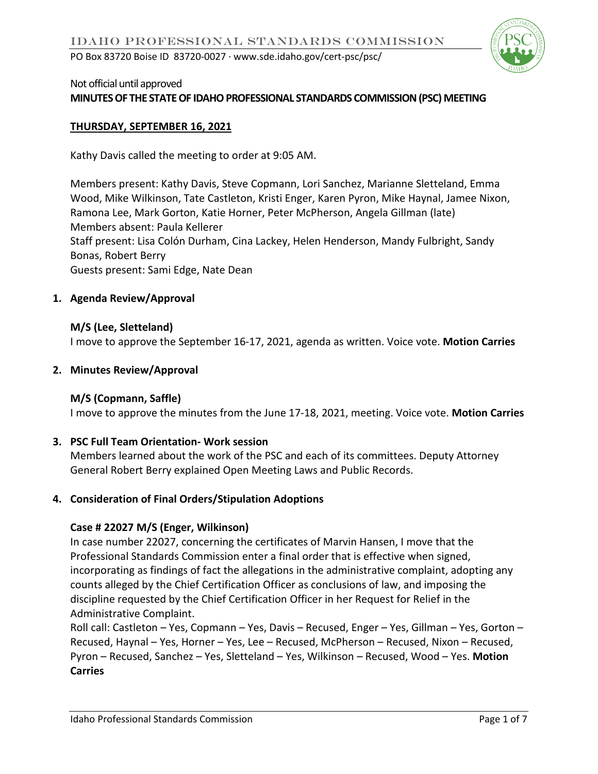

## Not official until approved

### **MINUTES OF THE STATE OF IDAHO PROFESSIONAL STANDARDS COMMISSION (PSC) MEETING**

### **THURSDAY, SEPTEMBER 16, 2021**

Kathy Davis called the meeting to order at 9:05 AM.

Members present: Kathy Davis, Steve Copmann, Lori Sanchez, Marianne Sletteland, Emma Wood, Mike Wilkinson, Tate Castleton, Kristi Enger, Karen Pyron, Mike Haynal, Jamee Nixon, Ramona Lee, Mark Gorton, Katie Horner, Peter McPherson, Angela Gillman (late) Members absent: Paula Kellerer Staff present: Lisa Colón Durham, Cina Lackey, Helen Henderson, Mandy Fulbright, Sandy Bonas, Robert Berry Guests present: Sami Edge, Nate Dean

#### **1. Agenda Review/Approval**

### **M/S (Lee, Sletteland)** I move to approve the September 16-17, 2021, agenda as written. Voice vote. **Motion Carries**

### **2. Minutes Review/Approval**

### **M/S (Copmann, Saffle)**

I move to approve the minutes from the June 17-18, 2021, meeting. Voice vote. **Motion Carries**

### **3. PSC Full Team Orientation- Work session**

Members learned about the work of the PSC and each of its committees. Deputy Attorney General Robert Berry explained Open Meeting Laws and Public Records.

### **4. Consideration of Final Orders/Stipulation Adoptions**

### **Case # 22027 M/S (Enger, Wilkinson)**

In case number 22027, concerning the certificates of Marvin Hansen, I move that the Professional Standards Commission enter a final order that is effective when signed, incorporating as findings of fact the allegations in the administrative complaint, adopting any counts alleged by the Chief Certification Officer as conclusions of law, and imposing the discipline requested by the Chief Certification Officer in her Request for Relief in the Administrative Complaint.

Roll call: Castleton – Yes, Copmann – Yes, Davis – Recused, Enger – Yes, Gillman – Yes, Gorton – Recused, Haynal – Yes, Horner – Yes, Lee – Recused, McPherson – Recused, Nixon – Recused, Pyron – Recused, Sanchez – Yes, Sletteland – Yes, Wilkinson – Recused, Wood – Yes. **Motion Carries**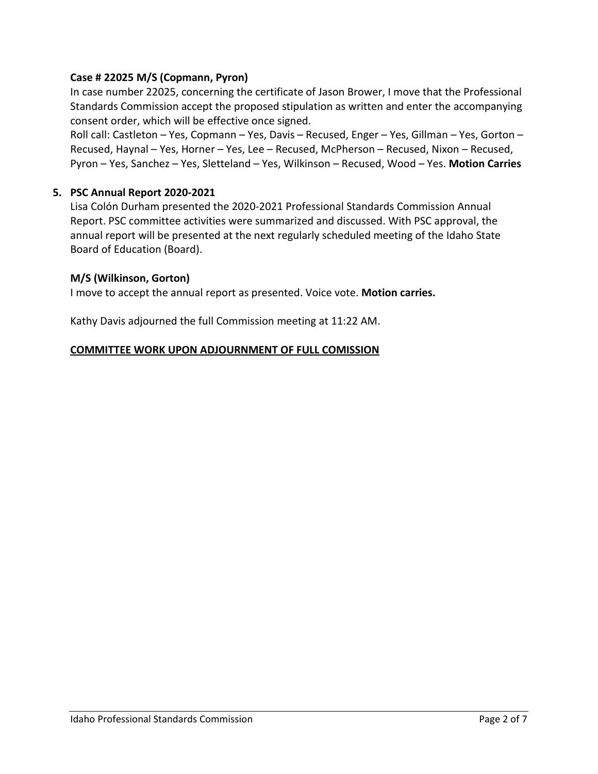### **Case # 22025 M/S (Copmann, Pyron)**

In case number 22025, concerning the certificate of Jason Brower, I move that the Professional Standards Commission accept the proposed stipulation as written and enter the accompanying consent order, which will be effective once signed.

Roll call: Castleton – Yes, Copmann – Yes, Davis – Recused, Enger – Yes, Gillman – Yes, Gorton – Recused, Haynal – Yes, Horner – Yes, Lee – Recused, McPherson – Recused, Nixon – Recused, Pyron – Yes, Sanchez – Yes, Sletteland – Yes, Wilkinson – Recused, Wood – Yes. **Motion Carries**

### **5. PSC Annual Report 2020-2021**

Lisa Colón Durham presented the 2020-2021 Professional Standards Commission Annual Report. PSC committee activities were summarized and discussed. With PSC approval, the annual report will be presented at the next regularly scheduled meeting of the Idaho State Board of Education (Board).

### **M/S (Wilkinson, Gorton)**

I move to accept the annual report as presented. Voice vote. **Motion carries.** 

Kathy Davis adjourned the full Commission meeting at 11:22 AM.

### **COMMITTEE WORK UPON ADJOURNMENT OF FULL COMISSION**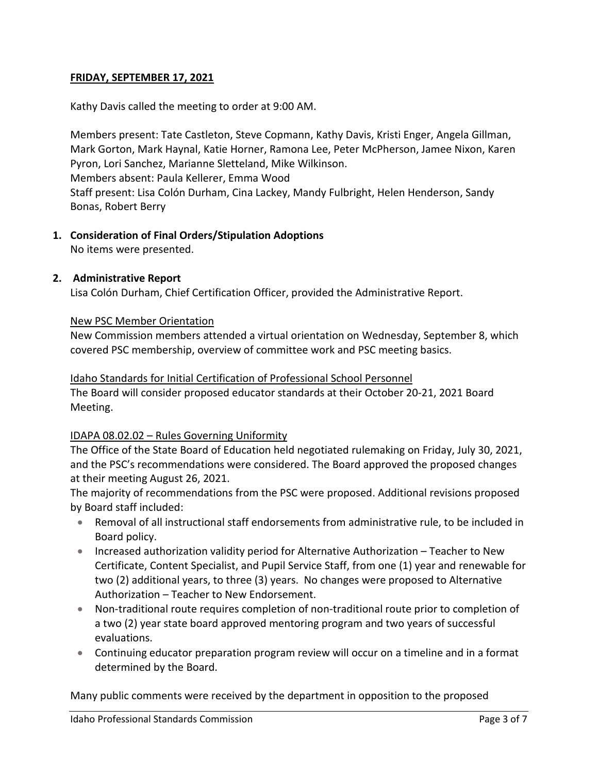### **FRIDAY, SEPTEMBER 17, 2021**

Kathy Davis called the meeting to order at 9:00 AM.

Members present: Tate Castleton, Steve Copmann, Kathy Davis, Kristi Enger, Angela Gillman, Mark Gorton, Mark Haynal, Katie Horner, Ramona Lee, Peter McPherson, Jamee Nixon, Karen Pyron, Lori Sanchez, Marianne Sletteland, Mike Wilkinson. Members absent: Paula Kellerer, Emma Wood Staff present: Lisa Colón Durham, Cina Lackey, Mandy Fulbright, Helen Henderson, Sandy Bonas, Robert Berry

### **1. Consideration of Final Orders/Stipulation Adoptions**

No items were presented.

#### **2. Administrative Report**

Lisa Colón Durham, Chief Certification Officer, provided the Administrative Report.

#### New PSC Member Orientation

New Commission members attended a virtual orientation on Wednesday, September 8, which covered PSC membership, overview of committee work and PSC meeting basics.

#### Idaho Standards for Initial Certification of Professional School Personnel

The Board will consider proposed educator standards at their October 20-21, 2021 Board Meeting.

### IDAPA 08.02.02 – Rules Governing Uniformity

The Office of the State Board of Education held negotiated rulemaking on Friday, July 30, 2021, and the PSC's recommendations were considered. The Board approved the proposed changes at their meeting August 26, 2021.

The majority of recommendations from the PSC were proposed. Additional revisions proposed by Board staff included:

- Removal of all instructional staff endorsements from administrative rule, to be included in Board policy.
- Increased authorization validity period for Alternative Authorization Teacher to New Certificate, Content Specialist, and Pupil Service Staff, from one (1) year and renewable for two (2) additional years, to three (3) years. No changes were proposed to Alternative Authorization – Teacher to New Endorsement.
- Non-traditional route requires completion of non-traditional route prior to completion of a two (2) year state board approved mentoring program and two years of successful evaluations.
- Continuing educator preparation program review will occur on a timeline and in a format determined by the Board.

Many public comments were received by the department in opposition to the proposed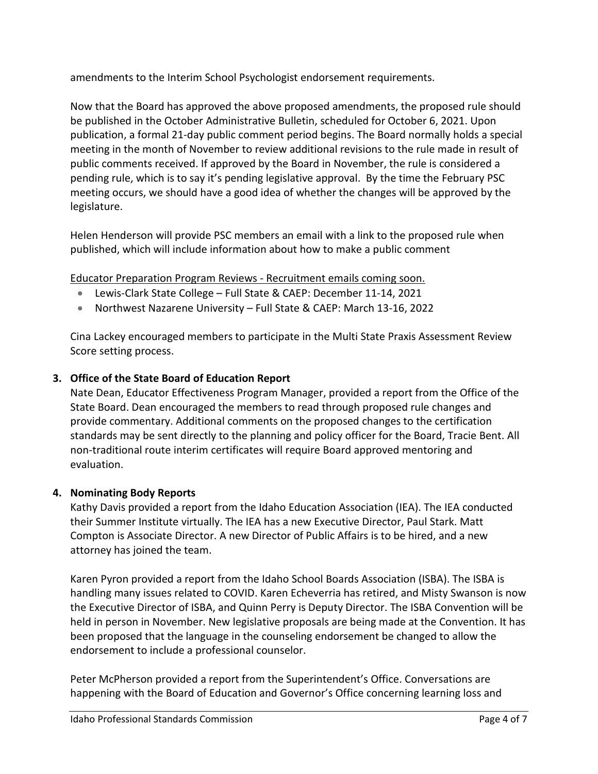amendments to the Interim School Psychologist endorsement requirements.

Now that the Board has approved the above proposed amendments, the proposed rule should be published in the October Administrative Bulletin, scheduled for October 6, 2021. Upon publication, a formal 21-day public comment period begins. The Board normally holds a special meeting in the month of November to review additional revisions to the rule made in result of public comments received. If approved by the Board in November, the rule is considered a pending rule, which is to say it's pending legislative approval. By the time the February PSC meeting occurs, we should have a good idea of whether the changes will be approved by the legislature.

Helen Henderson will provide PSC members an email with a link to the proposed rule when published, which will include information about how to make a public comment

Educator Preparation Program Reviews - Recruitment emails coming soon.

- Lewis-Clark State College Full State & CAEP: December 11-14, 2021
- Northwest Nazarene University Full State & CAEP: March 13-16, 2022

Cina Lackey encouraged members to participate in the Multi State Praxis Assessment Review Score setting process.

## **3. Office of the State Board of Education Report**

Nate Dean, Educator Effectiveness Program Manager, provided a report from the Office of the State Board. Dean encouraged the members to read through proposed rule changes and provide commentary. Additional comments on the proposed changes to the certification standards may be sent directly to the planning and policy officer for the Board, Tracie Bent. All non-traditional route interim certificates will require Board approved mentoring and evaluation.

### **4. Nominating Body Reports**

Kathy Davis provided a report from the Idaho Education Association (IEA). The IEA conducted their Summer Institute virtually. The IEA has a new Executive Director, Paul Stark. Matt Compton is Associate Director. A new Director of Public Affairs is to be hired, and a new attorney has joined the team.

Karen Pyron provided a report from the Idaho School Boards Association (ISBA). The ISBA is handling many issues related to COVID. Karen Echeverria has retired, and Misty Swanson is now the Executive Director of ISBA, and Quinn Perry is Deputy Director. The ISBA Convention will be held in person in November. New legislative proposals are being made at the Convention. It has been proposed that the language in the counseling endorsement be changed to allow the endorsement to include a professional counselor.

Peter McPherson provided a report from the Superintendent's Office. Conversations are happening with the Board of Education and Governor's Office concerning learning loss and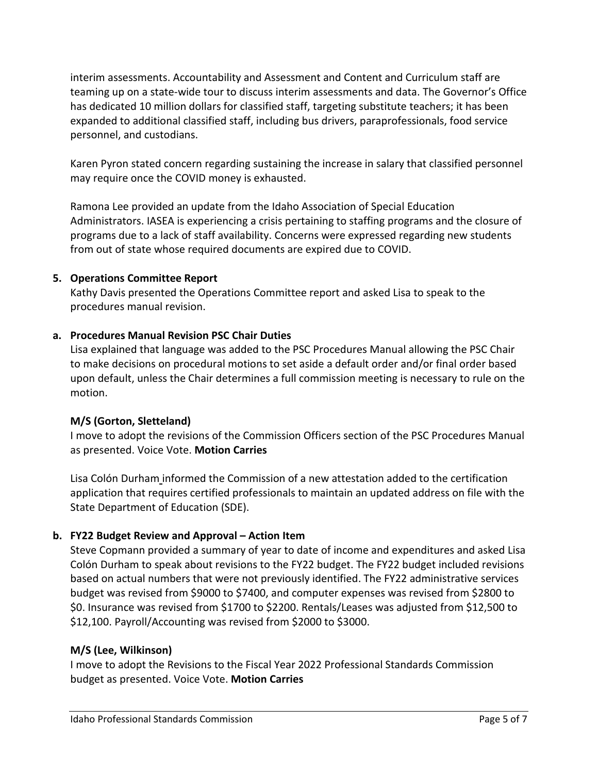interim assessments. Accountability and Assessment and Content and Curriculum staff are teaming up on a state-wide tour to discuss interim assessments and data. The Governor's Office has dedicated 10 million dollars for classified staff, targeting substitute teachers; it has been expanded to additional classified staff, including bus drivers, paraprofessionals, food service personnel, and custodians.

Karen Pyron stated concern regarding sustaining the increase in salary that classified personnel may require once the COVID money is exhausted.

Ramona Lee provided an update from the Idaho Association of Special Education Administrators. IASEA is experiencing a crisis pertaining to staffing programs and the closure of programs due to a lack of staff availability. Concerns were expressed regarding new students from out of state whose required documents are expired due to COVID.

### **5. Operations Committee Report**

Kathy Davis presented the Operations Committee report and asked Lisa to speak to the procedures manual revision.

# **a. Procedures Manual Revision PSC Chair Duties**

Lisa explained that language was added to the PSC Procedures Manual allowing the PSC Chair to make decisions on procedural motions to set aside a default order and/or final order based upon default, unless the Chair determines a full commission meeting is necessary to rule on the motion.

# **M/S (Gorton, Sletteland)**

I move to adopt the revisions of the Commission Officers section of the PSC Procedures Manual as presented. Voice Vote. **Motion Carries**

Lisa Colón Durham informed the Commission of a new attestation added to the certification application that requires certified professionals to maintain an updated address on file with the State Department of Education (SDE).

# **b. FY22 Budget Review and Approval – Action Item**

Steve Copmann provided a summary of year to date of income and expenditures and asked Lisa Colón Durham to speak about revisions to the FY22 budget. The FY22 budget included revisions based on actual numbers that were not previously identified. The FY22 administrative services budget was revised from \$9000 to \$7400, and computer expenses was revised from \$2800 to \$0. Insurance was revised from \$1700 to \$2200. Rentals/Leases was adjusted from \$12,500 to \$12,100. Payroll/Accounting was revised from \$2000 to \$3000.

# **M/S (Lee, Wilkinson)**

I move to adopt the Revisions to the Fiscal Year 2022 Professional Standards Commission budget as presented. Voice Vote. **Motion Carries**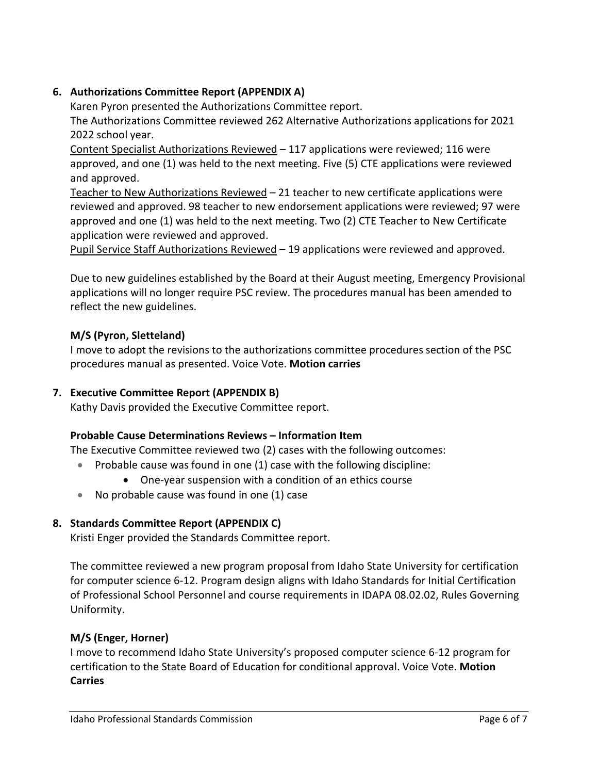## **6. Authorizations Committee Report (APPENDIX A)**

Karen Pyron presented the Authorizations Committee report.

The Authorizations Committee reviewed 262 Alternative Authorizations applications for 2021 2022 school year.

Content Specialist Authorizations Reviewed – 117 applications were reviewed; 116 were approved, and one (1) was held to the next meeting. Five (5) CTE applications were reviewed and approved.

Teacher to New Authorizations Reviewed – 21 teacher to new certificate applications were reviewed and approved. 98 teacher to new endorsement applications were reviewed; 97 were approved and one (1) was held to the next meeting. Two (2) CTE Teacher to New Certificate application were reviewed and approved.

Pupil Service Staff Authorizations Reviewed – 19 applications were reviewed and approved.

Due to new guidelines established by the Board at their August meeting, Emergency Provisional applications will no longer require PSC review. The procedures manual has been amended to reflect the new guidelines.

## **M/S (Pyron, Sletteland)**

I move to adopt the revisions to the authorizations committee procedures section of the PSC procedures manual as presented. Voice Vote. **Motion carries**

### **7. Executive Committee Report (APPENDIX B)**

Kathy Davis provided the Executive Committee report.

### **Probable Cause Determinations Reviews – Information Item**

The Executive Committee reviewed two (2) cases with the following outcomes:

- Probable cause was found in one (1) case with the following discipline:
	- One-year suspension with a condition of an ethics course
- No probable cause was found in one (1) case

# **8. Standards Committee Report (APPENDIX C)**

Kristi Enger provided the Standards Committee report.

The committee reviewed a new program proposal from Idaho State University for certification for computer science 6-12. Program design aligns with Idaho Standards for Initial Certification of Professional School Personnel and course requirements in IDAPA 08.02.02, Rules Governing Uniformity.

### **M/S (Enger, Horner)**

I move to recommend Idaho State University's proposed computer science 6-12 program for certification to the State Board of Education for conditional approval. Voice Vote. **Motion Carries**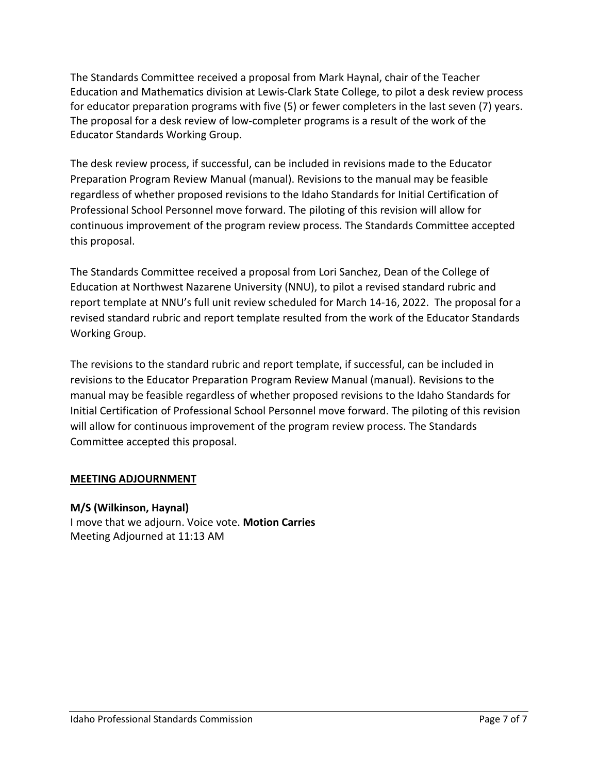The Standards Committee received a proposal from Mark Haynal, chair of the Teacher Education and Mathematics division at Lewis-Clark State College, to pilot a desk review process for educator preparation programs with five (5) or fewer completers in the last seven (7) years. The proposal for a desk review of low-completer programs is a result of the work of the Educator Standards Working Group.

The desk review process, if successful, can be included in revisions made to the Educator Preparation Program Review Manual (manual). Revisions to the manual may be feasible regardless of whether proposed revisions to the Idaho Standards for Initial Certification of Professional School Personnel move forward. The piloting of this revision will allow for continuous improvement of the program review process. The Standards Committee accepted this proposal.

The Standards Committee received a proposal from Lori Sanchez, Dean of the College of Education at Northwest Nazarene University (NNU), to pilot a revised standard rubric and report template at NNU's full unit review scheduled for March 14-16, 2022. The proposal for a revised standard rubric and report template resulted from the work of the Educator Standards Working Group.

The revisions to the standard rubric and report template, if successful, can be included in revisions to the Educator Preparation Program Review Manual (manual). Revisions to the manual may be feasible regardless of whether proposed revisions to the Idaho Standards for Initial Certification of Professional School Personnel move forward. The piloting of this revision will allow for continuous improvement of the program review process. The Standards Committee accepted this proposal.

### **MEETING ADJOURNMENT**

### **M/S (Wilkinson, Haynal)**

I move that we adjourn. Voice vote. **Motion Carries**  Meeting Adjourned at 11:13 AM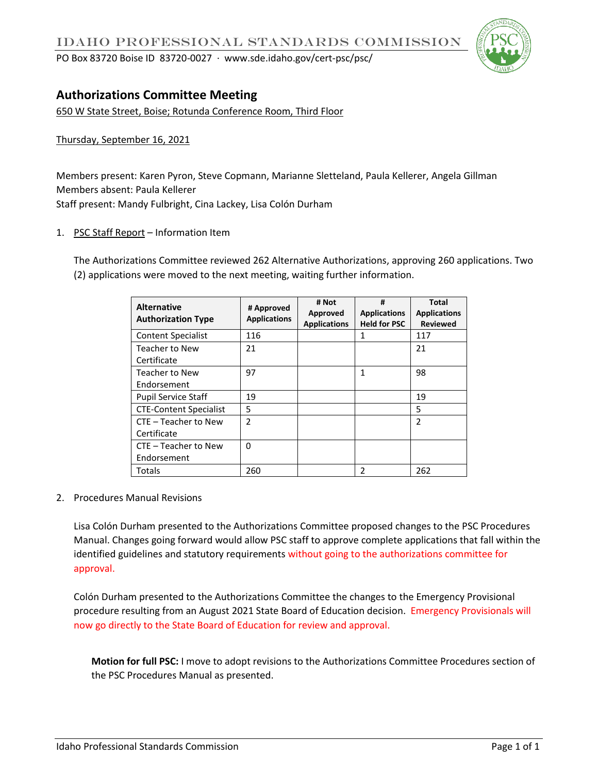PO Box 83720 Boise ID 83720-0027 ∙ www.sde.idaho.gov/cert-psc/psc/



# **Authorizations Committee Meeting**

650 W State Street, Boise; Rotunda Conference Room, Third Floor

Thursday, September 16, 2021

Members present: Karen Pyron, Steve Copmann, Marianne Sletteland, Paula Kellerer, Angela Gillman Members absent: Paula Kellerer Staff present: Mandy Fulbright, Cina Lackey, Lisa Colón Durham

1. PSC Staff Report - Information Item

The Authorizations Committee reviewed 262 Alternative Authorizations, approving 260 applications. Two (2) applications were moved to the next meeting, waiting further information.

| <b>Alternative</b><br><b>Authorization Type</b> | # Approved<br><b>Applications</b> | # Not<br>Approved<br><b>Applications</b> | #<br><b>Applications</b><br><b>Held for PSC</b> | Total<br><b>Applications</b><br><b>Reviewed</b> |
|-------------------------------------------------|-----------------------------------|------------------------------------------|-------------------------------------------------|-------------------------------------------------|
| <b>Content Specialist</b>                       | 116                               |                                          | 1                                               | 117                                             |
| <b>Teacher to New</b><br>Certificate            | 21                                |                                          |                                                 | 21                                              |
| <b>Teacher to New</b><br>Endorsement            | 97                                |                                          | 1                                               | 98                                              |
| <b>Pupil Service Staff</b>                      | 19                                |                                          |                                                 | 19                                              |
| <b>CTE-Content Specialist</b>                   | 5                                 |                                          |                                                 | 5                                               |
| CTE - Teacher to New<br>Certificate             | $\overline{2}$                    |                                          |                                                 | $\overline{2}$                                  |
| CTE - Teacher to New<br>Endorsement             | 0                                 |                                          |                                                 |                                                 |
| Totals                                          | 260                               |                                          | 2                                               | 262                                             |

2. Procedures Manual Revisions

Lisa Colón Durham presented to the Authorizations Committee proposed changes to the PSC Procedures Manual. Changes going forward would allow PSC staff to approve complete applications that fall within the identified guidelines and statutory requirements without going to the authorizations committee for approval.

Colón Durham presented to the Authorizations Committee the changes to the Emergency Provisional procedure resulting from an August 2021 State Board of Education decision. Emergency Provisionals will now go directly to the State Board of Education for review and approval.

**Motion for full PSC:** I move to adopt revisions to the Authorizations Committee Procedures section of the PSC Procedures Manual as presented.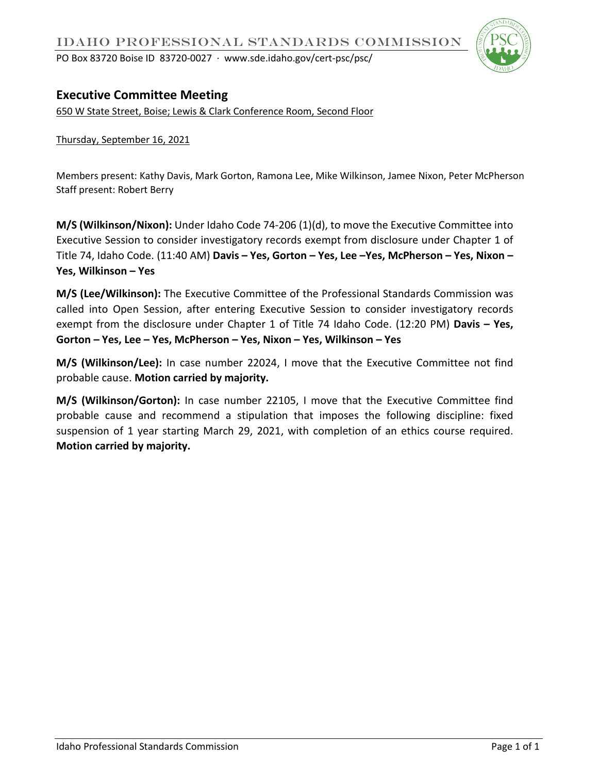

# **Executive Committee Meeting**

650 W State Street, Boise; Lewis & Clark Conference Room, Second Floor

Thursday, September 16, 2021

Members present: Kathy Davis, Mark Gorton, Ramona Lee, Mike Wilkinson, Jamee Nixon, Peter McPherson Staff present: Robert Berry

**M/S (Wilkinson/Nixon):** Under Idaho Code 74-206 (1)(d), to move the Executive Committee into Executive Session to consider investigatory records exempt from disclosure under Chapter 1 of Title 74, Idaho Code. (11:40 AM) **Davis – Yes, Gorton – Yes, Lee –Yes, McPherson – Yes, Nixon – Yes, Wilkinson – Yes**

**M/S (Lee/Wilkinson):** The Executive Committee of the Professional Standards Commission was called into Open Session, after entering Executive Session to consider investigatory records exempt from the disclosure under Chapter 1 of Title 74 Idaho Code. (12:20 PM) **Davis – Yes, Gorton – Yes, Lee – Yes, McPherson – Yes, Nixon – Yes, Wilkinson – Yes**

**M/S (Wilkinson/Lee):** In case number 22024, I move that the Executive Committee not find probable cause. **Motion carried by majority.**

**M/S (Wilkinson/Gorton):** In case number 22105, I move that the Executive Committee find probable cause and recommend a stipulation that imposes the following discipline: fixed suspension of 1 year starting March 29, 2021, with completion of an ethics course required. **Motion carried by majority.**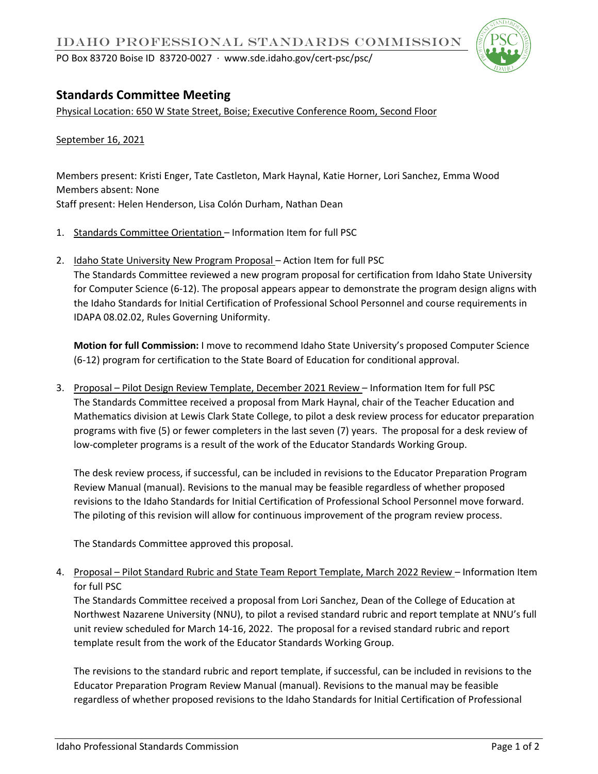

# **Standards Committee Meeting**

Physical Location: 650 W State Street, Boise; Executive Conference Room, Second Floor

September 16, 2021

Members present: Kristi Enger, Tate Castleton, Mark Haynal, Katie Horner, Lori Sanchez, Emma Wood Members absent: None Staff present: Helen Henderson, Lisa Colón Durham, Nathan Dean

- 1. Standards Committee Orientation Information Item for full PSC
- 2. Idaho State University New Program Proposal Action Item for full PSC The Standards Committee reviewed a new program proposal for certification from Idaho State University for Computer Science (6-12). The proposal appears appear to demonstrate the program design aligns with the Idaho Standards for Initial Certification of Professional School Personnel and course requirements in IDAPA 08.02.02, Rules Governing Uniformity.

**Motion for full Commission:** I move to recommend Idaho State University's proposed Computer Science (6-12) program for certification to the State Board of Education for conditional approval.

3. Proposal – Pilot Design Review Template, December 2021 Review – Information Item for full PSC The Standards Committee received a proposal from Mark Haynal, chair of the Teacher Education and Mathematics division at Lewis Clark State College, to pilot a desk review process for educator preparation programs with five (5) or fewer completers in the last seven (7) years. The proposal for a desk review of low-completer programs is a result of the work of the Educator Standards Working Group.

The desk review process, if successful, can be included in revisions to the Educator Preparation Program Review Manual (manual). Revisions to the manual may be feasible regardless of whether proposed revisions to the Idaho Standards for Initial Certification of Professional School Personnel move forward. The piloting of this revision will allow for continuous improvement of the program review process.

The Standards Committee approved this proposal.

4. Proposal – Pilot Standard Rubric and State Team Report Template, March 2022 Review – Information Item for full PSC

The Standards Committee received a proposal from Lori Sanchez, Dean of the College of Education at Northwest Nazarene University (NNU), to pilot a revised standard rubric and report template at NNU's full unit review scheduled for March 14-16, 2022. The proposal for a revised standard rubric and report template result from the work of the Educator Standards Working Group.

The revisions to the standard rubric and report template, if successful, can be included in revisions to the Educator Preparation Program Review Manual (manual). Revisions to the manual may be feasible regardless of whether proposed revisions to the Idaho Standards for Initial Certification of Professional